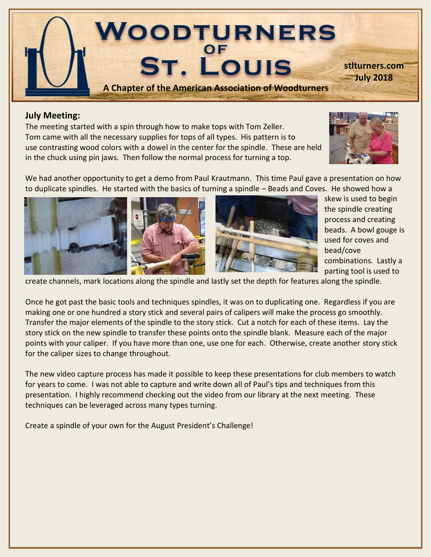

#### **July Meeting:**

The meeting started with a spin through how to make tops with Tom Zeller. Tom came with all the necessary supplies for tops of all types. His pattern is to use contrasting wood colors with a dowel in the center for the spindle. These are held in the chuck using pin jaws. Then follow the normal process for turning a top.



We had another opportunity to get a demo from Paul Krautmann. This time Paul gave a presentation on how to duplicate spindles. He started with the basics of turning a spindle – Beads and Coves. He showed how a







skew is used to begin the spindle creating process and creating beads. A bowl gouge is used for coves and bead/cove combinations. Lastly a parting tool is used to

create channels, mark locations along the spindle and lastly set the depth for features along the spindle.

Once he got past the basic tools and techniques spindles, it was on to duplicating one. Regardless if you are making one or one hundred a story stick and several pairs of calipers will make the process go smoothly. Transfer the major elements of the spindle to the story stick. Cut a notch for each of these items. Lay the story stick on the new spindle to transfer these points onto the spindle blank. Measure each of the major points with your caliper. If you have more than one, use one for each. Otherwise, create another story stick for the caliper sizes to change throughout.

The new video capture process has made it possible to keep these presentations for club members to watch for years to come. I was not able to capture and write down all of Paul's tips and techniques from this presentation. I highly recommend checking out the video from our library at the next meeting. These techniques can be leveraged across many types turning.

Create a spindle of your own for the August President's Challenge!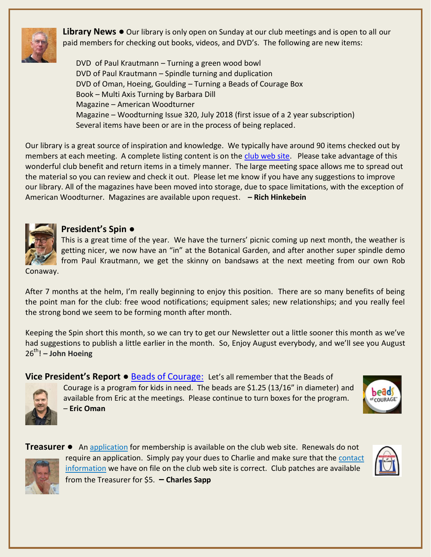

**Library News ●** Our library is only open on Sunday at our club meetings and is open to all our paid members for checking out books, videos, and DVD's. The following are new items:

DVD of Paul Krautmann – Turning a green wood bowl DVD of Paul Krautmann – Spindle turning and duplication DVD of Oman, Hoeing, Goulding – Turning a Beads of Courage Box Book – Multi Axis Turning by Barbara Dill Magazine – American Woodturner Magazine – Woodturning Issue 320, July 2018 (first issue of a 2 year subscription) Several items have been or are in the process of being replaced.

Our library is a great source of inspiration and knowledge. We typically have around 90 items checked out by members at each meeting. A complete listing content is on the [club web site.](http://turnedtreasuresllc.com/wstl2/) Please take advantage of this wonderful club benefit and return items in a timely manner. The large meeting space allows me to spread out the material so you can review and check it out. Please let me know if you have any suggestions to improve our library. All of the magazines have been moved into storage, due to space limitations, with the exception of American Woodturner. Magazines are available upon request. **– Rich Hinkebein**



#### **President's Spin ●**

This is a great time of the year. We have the turners' picnic coming up next month, the weather is getting nicer, we now have an "in" at the Botanical Garden, and after another super spindle demo from Paul Krautmann, we get the skinny on bandsaws at the next meeting from our own Rob

Conaway.

After 7 months at the helm, I'm really beginning to enjoy this position. There are so many benefits of being the point man for the club: free wood notifications; equipment sales; new relationships; and you really feel the strong bond we seem to be forming month after month.

Keeping the Spin short this month, so we can try to get our Newsletter out a little sooner this month as we've had suggestions to publish a little earlier in the month. So, Enjoy August everybody, and we'll see you August 26 th! **– John Hoeing** 

**Vice President's Report ● [Beads of Courage:](http://www.woodturner.org/default.asp?page=2015Charitable) Let's all remember that the Beads of** 



Courage is a program for kids in need. The beads are \$1.25 (13/16" in diameter) and available from Eric at the meetings. Please continue to turn boxes for the program. – **Eric Oman**





**Treasurer ●** A[n application](http://turnedtreasuresllc.com/wstl2/wp-content/uploads/2018/01/Membership-Application-Form-2017.pdf) for membership is available on the club web site. Renewals do not require an application. Simply pay your dues to Charlie and make sure that the [contact](http://turnedtreasuresllc.com/wstl2/wp-content/uploads/2017/10/Member-Picture-Roster-102417.pdf) [information](http://turnedtreasuresllc.com/wstl2/wp-content/uploads/2017/10/Member-Picture-Roster-102417.pdf) we have on file on the club web site is correct. Club patches are available from the Treasurer for \$5. **– Charles Sapp**

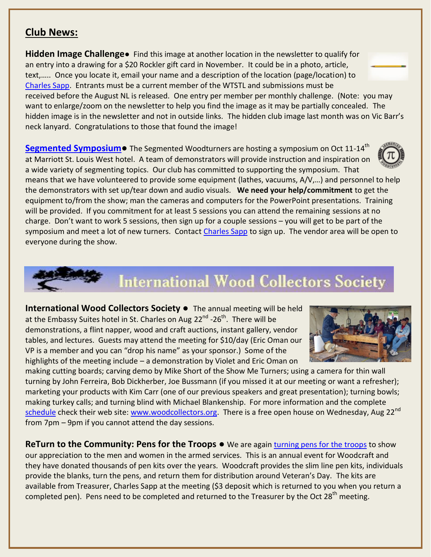### **Club News:**

**Hidden Image Challenge●** Find this image at another location in the newsletter to qualify for an entry into a drawing for a \$20 Rockler gift card in November. It could be in a photo, article, text,….. Once you locate it, email your name and a description of the location (page/location) to [Charles Sapp.](mailto:cwsapp@charter.net) Entrants must be a current member of the WTSTL and submissions must be received before the August NL is released. One entry per member per monthly challenge. (Note: you may want to enlarge/zoom on the newsletter to help you find the image as it may be partially concealed. The hidden image is in the newsletter and not in outside links. The hidden club image last month was on Vic Barr's neck lanyard. Congratulations to those that found the image!

**[Segmented Symposium](http://segmentedwoodturners.org/?album=1&photo=16&cover=0&occur=1)**● The Segmented Woodturners are hosting a symposium on Oct 11-14<sup>th</sup> at Marriott St. Louis West hotel. A team of demonstrators will provide instruction and inspiration on a wide variety of segmenting topics. Our club has committed to supporting the symposium. That

means that we have volunteered to provide some equipment (lathes, vacuums, A/V,…) and personnel to help the demonstrators with set up/tear down and audio visuals. **We need your help/commitment** to get the equipment to/from the show; man the cameras and computers for the PowerPoint presentations. Training will be provided. If you commitment for at least 5 sessions you can attend the remaining sessions at no charge. Don't want to work 5 sessions, then sign up for a couple sessions – you will get to be part of the symposium and meet a lot of new turners. Contact [Charles Sapp](mailto:cwsapp@charter.net) to sign up. The vendor area will be open to everyone during the show.

# **International Wood Collectors Society**

**International Wood Collectors Society ●** The annual meeting will be held at the Embassy Suites hotel in St. Charles on Aug 22<sup>nd</sup> -26<sup>th</sup>. There will be demonstrations, a flint napper, wood and craft auctions, instant gallery, vendor tables, and lectures. Guests may attend the meeting for \$10/day (Eric Oman our VP is a member and you can "drop his name" as your sponsor.) Some of the highlights of the meeting include – a demonstration by Violet and Eric Oman on

making cutting boards; carving demo by Mike Short of the Show Me Turners; using a camera for thin wall turning by John Ferreira, Bob Dickherber, Joe Bussmann (if you missed it at our meeting or want a refresher); marketing your products with Kim Carr (one of our previous speakers and great presentation); turning bowls; making turkey calls; and turning blind with Michael Blankenship. For more information and the complete [schedule](http://www.woodcollectors.org/pdf/2018-agm-schedule-updated-17jun2018.pdf) check their web site: [www.woodcollectors.org.](http://www.woodcollectors.org/) There is a free open house on Wednesday, Aug 22<sup>nd</sup> from 7pm – 9pm if you cannot attend the day sessions.

**ReTurn to the Community: Pens for the Troops ●** We are again [turning pens for the troops](https://www.woodcraft.com/pages/turn-for-troops) to show our appreciation to the men and women in the armed services. This is an annual event for Woodcraft and they have donated thousands of pen kits over the years. Woodcraft provides the slim line pen kits, individuals provide the blanks, turn the pens, and return them for distribution around Veteran's Day. The kits are available from Treasurer, Charles Sapp at the meeting (\$3 deposit which is returned to you when you return a completed pen). Pens need to be completed and returned to the Treasurer by the Oct  $28<sup>th</sup>$  meeting.





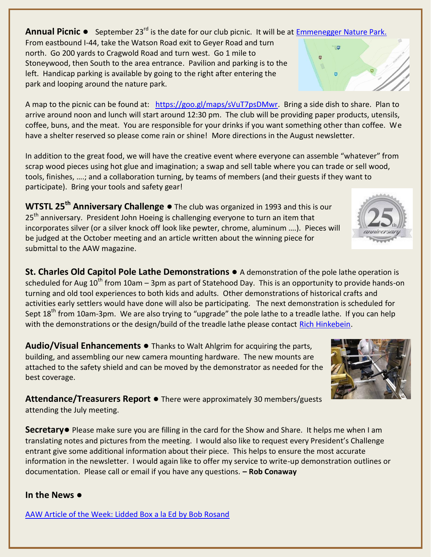**Annual Picnic ●** September 23rd is the date for our club picnic. It will be at [Emmenegger Nature Park.](https://nature.mdc.mo.gov/discover-nature/places/emmenegger-nature-park) 

From eastbound I-44, take the Watson Road exit to Geyer Road and turn north. Go 200 yards to Cragwold Road and turn west. Go 1 mile to Stoneywood, then South to the area entrance. Pavilion and parking is to the left. Handicap parking is available by going to the right after entering the park and looping around the nature park.

A map to the picnic can be found at: [https://goo.gl/maps/sVuT7psDMwr.](https://goo.gl/maps/sVuT7psDMwr) Bring a side dish to share. Plan to arrive around noon and lunch will start around 12:30 pm. The club will be providing paper products, utensils, coffee, buns, and the meat. You are responsible for your drinks if you want something other than coffee. We have a shelter reserved so please come rain or shine! More directions in the August newsletter.

In addition to the great food, we will have the creative event where everyone can assemble "whatever" from scrap wood pieces using hot glue and imagination; a swap and sell table where you can trade or sell wood, tools, finishes, ….; and a collaboration turning, by teams of members (and their guests if they want to participate). Bring your tools and safety gear!

**WTSTL 25th Anniversary Challenge** *●* The club was organized in 1993 and this is our  $25<sup>th</sup>$  anniversary. President John Hoeing is challenging everyone to turn an item that incorporates silver (or a silver knock off look like pewter, chrome, aluminum ….). Pieces will be judged at the October meeting and an article written about the winning piece for submittal to the AAW magazine.

**St. Charles Old Capitol Pole Lathe Demonstrations ●** A demonstration of the pole lathe operation is scheduled for Aug  $10^{th}$  from 10am – 3pm as part of Statehood Day. This is an opportunity to provide hands-on turning and old tool experiences to both kids and adults. Other demonstrations of historical crafts and activities early settlers would have done will also be participating. The next demonstration is scheduled for Sept 18<sup>th</sup> from 10am-3pm. We are also trying to "upgrade" the pole lathe to a treadle lathe. If you can help with the demonstrations or the design/build of the treadle lathe please contact [Rich Hinkebein.](mailto:kathryna1945@yahoo.com)

**Audio/Visual Enhancements ●** Thanks to Walt Ahlgrim for acquiring the parts, building, and assembling our new camera mounting hardware. The new mounts are attached to the safety shield and can be moved by the demonstrator as needed for the best coverage.

**Attendance/Treasurers Report** *●* There were approximately 30 members/guests attending the July meeting.

**Secretary●** Please make sure you are filling in the card for the Show and Share. It helps me when I am translating notes and pictures from the meeting. I would also like to request every President's Challenge entrant give some additional information about their piece. This helps to ensure the most accurate information in the newsletter. I would again like to offer my service to write-up demonstration outlines or documentation. Please call or email if you have any questions. **– Rob Conaway**

#### **In the News ●**

[AAW Article of the Week: Lidded Box a la Ed by Bob Rosand](http://aawcontentsource.org/aaw_cs1_pdf/AW3205p18-21.pdf)





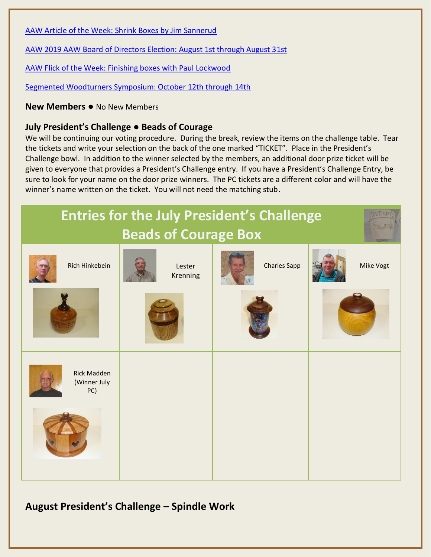[AAW Article of the Week: Shrink Boxes by Jim Sannerud](http://aawcontentsource.org/aaw_cs1_pdf/AW2701p19-22.pdf)

[AAW 2019 AAW Board of Directors Election: August 1st through August 31st](https://www.woodturner.org/page/2019BoardVote)

[AAW Flick of the Week: Finishing boxes with Paul Lockwood](http://r20.rs6.net/tn.jsp?f=001XNKXKTIVyrtXEiTBkPi7bTe7S-UxSKFQtC9BgjmiDTBocWtOOInTCL_lYB5OKzbdmTYFgsiKaDuCaSBeKV6RI6u6R3KKrBtVLCY8ai0ojHlGpLwY8jWL_I7R6Am0BkJVqK7IWaUiPOhYoercPypLcGfo7_kZA9a9ZkyELArYddKSoyoHclIpOup8pN4KKr6tBEVfjngfopMLJTyNa7fouVE2yHavg5uxO5gQnJXLPMUlBzbZ_1fENw==&c=Tljf9SzQ06RFrhzGtXhA9ngchQ78WiZFaxDpuSoCPCNlBwEYvgty0A==&ch=YnRSBvLxKAK0-EwDx5I4SFVBqXenX_W8PK6WlI4_UDCzHUMUPOQtmw==)

[Segmented Woodturners Symposium: October 12th through 14th](http://segmentedwoodturners.org/home/symposium/symposium-overview/)

**New Members ●** No New Members

#### **July President's Challenge** ● **Beads of Courage**

We will be continuing our voting procedure. During the break, review the items on the challenge table. Tear the tickets and write your selection on the back of the one marked "TICKET". Place in the President's Challenge bowl. In addition to the winner selected by the members, an additional door prize ticket will be given to everyone that provides a President's Challenge entry. If you have a President's Challenge Entry, be sure to look for your name on the door prize winners. The PC tickets are a different color and will have the winner's name written on the ticket. You will not need the matching stub.



## **August President's Challenge – Spindle Work**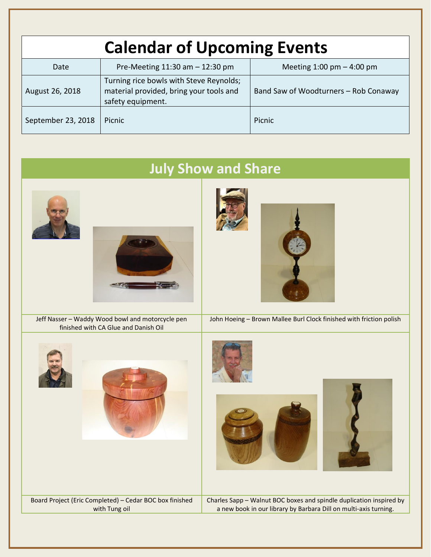| <b>Calendar of Upcoming Events</b> |                                                                                                         |                                             |  |  |
|------------------------------------|---------------------------------------------------------------------------------------------------------|---------------------------------------------|--|--|
| Date                               | Pre-Meeting $11:30$ am $-12:30$ pm                                                                      | Meeting $1:00 \text{ pm} - 4:00 \text{ pm}$ |  |  |
| August 26, 2018                    | Turning rice bowls with Steve Reynolds;<br>material provided, bring your tools and<br>safety equipment. | Band Saw of Woodturners - Rob Conaway       |  |  |
| September 23, 2018                 | <b>Picnic</b>                                                                                           | Picnic                                      |  |  |

| <b>July Show and Share</b>                                                               |                                                                                                                                         |  |  |  |
|------------------------------------------------------------------------------------------|-----------------------------------------------------------------------------------------------------------------------------------------|--|--|--|
|                                                                                          |                                                                                                                                         |  |  |  |
| Jeff Nasser - Waddy Wood bowl and motorcycle pen<br>finished with CA Glue and Danish Oil | John Hoeing - Brown Mallee Burl Clock finished with friction polish                                                                     |  |  |  |
|                                                                                          |                                                                                                                                         |  |  |  |
| Board Project (Eric Completed) - Cedar BOC box finished<br>with Tung oil                 | Charles Sapp - Walnut BOC boxes and spindle duplication inspired by<br>a new book in our library by Barbara Dill on multi-axis turning. |  |  |  |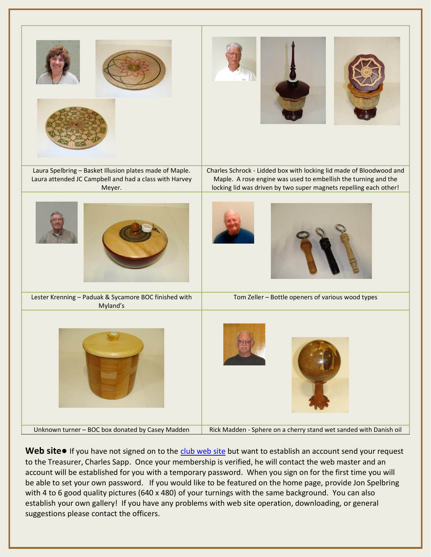

**Web site•** If you have not signed on to the [club web site](http://turnedtreasuresllc.com/wstl2/) but want to establish an account send your request to the Treasurer, Charles Sapp. Once your membership is verified, he will contact the web master and an account will be established for you with a temporary password. When you sign on for the first time you will be able to set your own password. If you would like to be featured on the home page, provide Jon Spelbring with 4 to 6 good quality pictures (640 x 480) of your turnings with the same background. You can also establish your own gallery! If you have any problems with web site operation, downloading, or general suggestions please contact the officers.